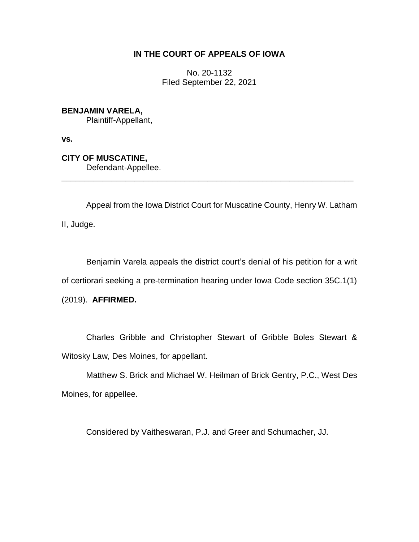## **IN THE COURT OF APPEALS OF IOWA**

No. 20-1132 Filed September 22, 2021

## **BENJAMIN VARELA,**

Plaintiff-Appellant,

**vs.**

**CITY OF MUSCATINE,**

Defendant-Appellee.

Appeal from the Iowa District Court for Muscatine County, Henry W. Latham II, Judge.

\_\_\_\_\_\_\_\_\_\_\_\_\_\_\_\_\_\_\_\_\_\_\_\_\_\_\_\_\_\_\_\_\_\_\_\_\_\_\_\_\_\_\_\_\_\_\_\_\_\_\_\_\_\_\_\_\_\_\_\_\_\_\_\_

Benjamin Varela appeals the district court's denial of his petition for a writ of certiorari seeking a pre-termination hearing under Iowa Code section 35C.1(1) (2019). **AFFIRMED.**

Charles Gribble and Christopher Stewart of Gribble Boles Stewart & Witosky Law, Des Moines, for appellant.

Matthew S. Brick and Michael W. Heilman of Brick Gentry, P.C., West Des Moines, for appellee.

Considered by Vaitheswaran, P.J. and Greer and Schumacher, JJ.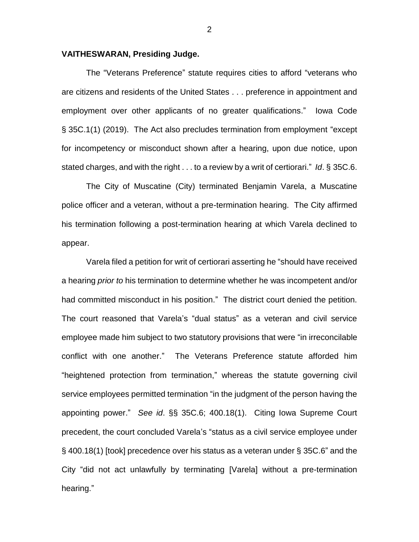## **VAITHESWARAN, Presiding Judge.**

The "Veterans Preference" statute requires cities to afford "veterans who are citizens and residents of the United States . . . preference in appointment and employment over other applicants of no greater qualifications." Iowa Code § 35C.1(1) (2019).The Act also precludes termination from employment "except for incompetency or misconduct shown after a hearing, upon due notice, upon stated charges, and with the right . . . to a review by a writ of certiorari." *Id*. § 35C.6.

The City of Muscatine (City) terminated Benjamin Varela, a Muscatine police officer and a veteran, without a pre-termination hearing. The City affirmed his termination following a post-termination hearing at which Varela declined to appear.

Varela filed a petition for writ of certiorari asserting he "should have received a hearing *prior to* his termination to determine whether he was incompetent and/or had committed misconduct in his position." The district court denied the petition. The court reasoned that Varela's "dual status" as a veteran and civil service employee made him subject to two statutory provisions that were "in irreconcilable conflict with one another." The Veterans Preference statute afforded him "heightened protection from termination," whereas the statute governing civil service employees permitted termination "in the judgment of the person having the appointing power." *See id*. §§ 35C.6; 400.18(1). Citing Iowa Supreme Court precedent, the court concluded Varela's "status as a civil service employee under § 400.18(1) [took] precedence over his status as a veteran under § 35C.6" and the City "did not act unlawfully by terminating [Varela] without a pre-termination hearing."

2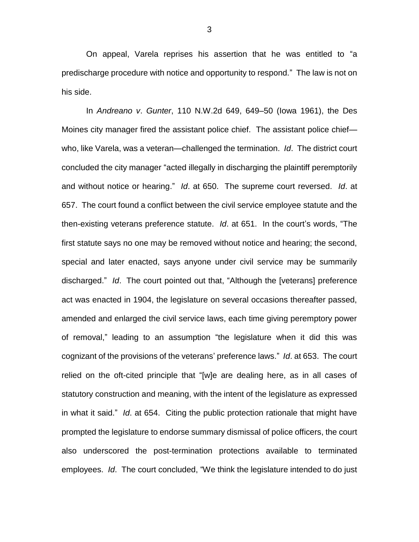On appeal, Varela reprises his assertion that he was entitled to "a predischarge procedure with notice and opportunity to respond." The law is not on his side.

In *Andreano v*. *Gunter*, 110 N.W.2d 649, 649–50 (Iowa 1961), the Des Moines city manager fired the assistant police chief. The assistant police chief who, like Varela, was a veteran—challenged the termination. *Id*. The district court concluded the city manager "acted illegally in discharging the plaintiff peremptorily and without notice or hearing." *Id*. at 650. The supreme court reversed. *Id*. at 657. The court found a conflict between the civil service employee statute and the then-existing veterans preference statute. *Id*. at 651. In the court's words, "The first statute says no one may be removed without notice and hearing; the second, special and later enacted, says anyone under civil service may be summarily discharged." *Id*. The court pointed out that, "Although the [veterans] preference act was enacted in 1904, the legislature on several occasions thereafter passed, amended and enlarged the civil service laws, each time giving peremptory power of removal," leading to an assumption "the legislature when it did this was cognizant of the provisions of the veterans' preference laws." *Id*. at 653. The court relied on the oft-cited principle that "[w]e are dealing here, as in all cases of statutory construction and meaning, with the intent of the legislature as expressed in what it said." *Id*. at 654. Citing the public protection rationale that might have prompted the legislature to endorse summary dismissal of police officers, the court also underscored the post-termination protections available to terminated employees. *Id*. The court concluded, "We think the legislature intended to do just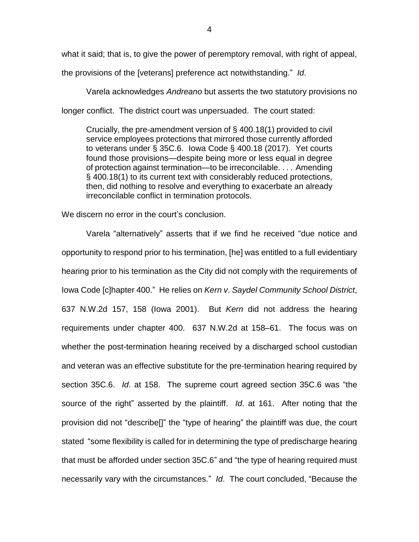what it said; that is, to give the power of peremptory removal, with right of appeal,

the provisions of the [veterans] preference act notwithstanding." *Id*.

Varela acknowledges *Andreano* but asserts the two statutory provisions no longer conflict. The district court was unpersuaded. The court stated:

Crucially, the pre-amendment version of § 400.18(1) provided to civil service employees protections that mirrored those currently afforded to veterans under § 35C.6. Iowa Code § 400.18 (2017). Yet courts found those provisions—despite being more or less equal in degree of protection against termination—to be irreconcilable. . . . Amending § 400.18(1) to its current text with considerably reduced protections, then, did nothing to resolve and everything to exacerbate an already irreconcilable conflict in termination protocols.

We discern no error in the court's conclusion.

Varela "alternatively" asserts that if we find he received "due notice and opportunity to respond prior to his termination, [he] was entitled to a full evidentiary hearing prior to his termination as the City did not comply with the requirements of Iowa Code [c]hapter 400." He relies on *Kern v*. *Saydel Community School District*, 637 N.W.2d 157, 158 (Iowa 2001). But *Kern* did not address the hearing requirements under chapter 400. 637 N.W.2d at 158–61. The focus was on whether the post-termination hearing received by a discharged school custodian and veteran was an effective substitute for the pre-termination hearing required by section 35C.6. *Id*. at 158. The supreme court agreed section 35C.6 was "the source of the right" asserted by the plaintiff. *Id*. at 161. After noting that the provision did not "describe[]" the "type of hearing" the plaintiff was due, the court stated "some flexibility is called for in determining the type of predischarge hearing that must be afforded under section 35C.6" and "the type of hearing required must necessarily vary with the circumstances." *Id*. The court concluded, "Because the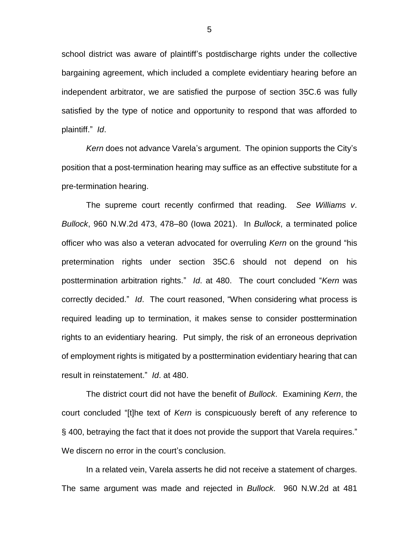school district was aware of plaintiff's postdischarge rights under the collective bargaining agreement, which included a complete evidentiary hearing before an independent arbitrator, we are satisfied the purpose of section 35C.6 was fully satisfied by the type of notice and opportunity to respond that was afforded to plaintiff." *Id*.

*Kern* does not advance Varela's argument. The opinion supports the City's position that a post-termination hearing may suffice as an effective substitute for a pre-termination hearing.

The supreme court recently confirmed that reading. *See Williams v*. *Bullock*, 960 N.W.2d 473, 478–80 (Iowa 2021). In *Bullock*, a terminated police officer who was also a veteran advocated for overruling *Kern* on the ground "his pretermination rights under section 35C.6 should not depend on his posttermination arbitration rights." *Id*. at 480. The court concluded "*Kern* was correctly decided." *Id*. The court reasoned, "When considering what process is required leading up to termination, it makes sense to consider posttermination rights to an evidentiary hearing. Put simply, the risk of an erroneous deprivation of employment rights is mitigated by a posttermination evidentiary hearing that can result in reinstatement." *Id*. at 480.

The district court did not have the benefit of *Bullock*. Examining *Kern*, the court concluded "[t]he text of *Kern* is conspicuously bereft of any reference to § 400, betraying the fact that it does not provide the support that Varela requires." We discern no error in the court's conclusion.

In a related vein, Varela asserts he did not receive a statement of charges. The same argument was made and rejected in *Bullock*. 960 N.W.2d at 481